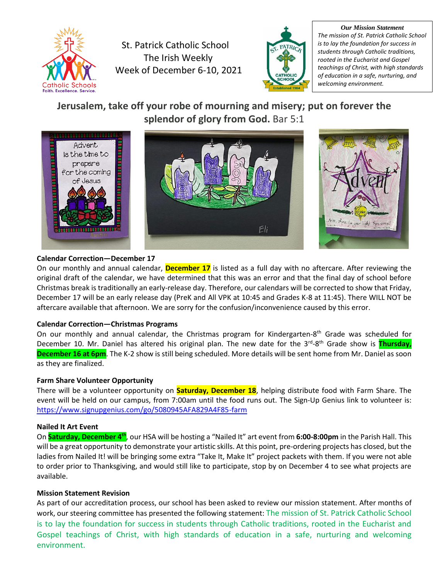

St. Patrick Catholic School The Irish Weekly Week of December 6-10, 2021



*Our Mission Statement The mission of St. Patrick Catholic School is to lay the foundation for success in students through Catholic traditions, rooted in the Eucharist and Gospel teachings of Christ, with high standards of education in a safe, nurturing, and welcoming environment.*

# **Jerusalem, take off your robe of mourning and misery; put on forever the splendor of glory from God.** Bar 5:1



# **Calendar Correction—December 17**

On our monthly and annual calendar, **December 17** is listed as a full day with no aftercare. After reviewing the original draft of the calendar, we have determined that this was an error and that the final day of school before Christmas break is traditionally an early-release day. Therefore, our calendars will be corrected to show that Friday, December 17 will be an early release day (PreK and All VPK at 10:45 and Grades K-8 at 11:45). There WILL NOT be aftercare available that afternoon. We are sorry for the confusion/inconvenience caused by this error.

# **Calendar Correction—Christmas Programs**

On our monthly and annual calendar, the Christmas program for Kindergarten-8<sup>th</sup> Grade was scheduled for December 10. Mr. Daniel has altered his original plan. The new date for the 3<sup>rd</sup>-8<sup>th</sup> Grade show is <mark>Thursday,</mark> **December 16 at 6pm**. The K-2 show is still being scheduled. More details will be sent home from Mr. Daniel as soon as they are finalized.

# **Farm Share Volunteer Opportunity**

There will be a volunteer opportunity on **Saturday, December 18**, helping distribute food with Farm Share. The event will be held on our campus, from 7:00am until the food runs out. The Sign-Up Genius link to volunteer is: <https://www.signupgenius.com/go/5080945AFA829A4F85-farm>

# **Nailed It Art Event**

On **Saturday, December 4th**, our HSA will be hosting a "Nailed It" art event from **6:00-8:00pm** in the Parish Hall. This will be a great opportunity to demonstrate your artistic skills. At this point, pre-ordering projects has closed, but the ladies from Nailed It! will be bringing some extra "Take It, Make It" project packets with them. If you were not able to order prior to Thanksgiving, and would still like to participate, stop by on December 4 to see what projects are available.

# **Mission Statement Revision**

As part of our accreditation process, our school has been asked to review our mission statement. After months of work, our steering committee has presented the following statement: The mission of St. Patrick Catholic School is to lay the foundation for success in students through Catholic traditions, rooted in the Eucharist and Gospel teachings of Christ, with high standards of education in a safe, nurturing and welcoming environment.